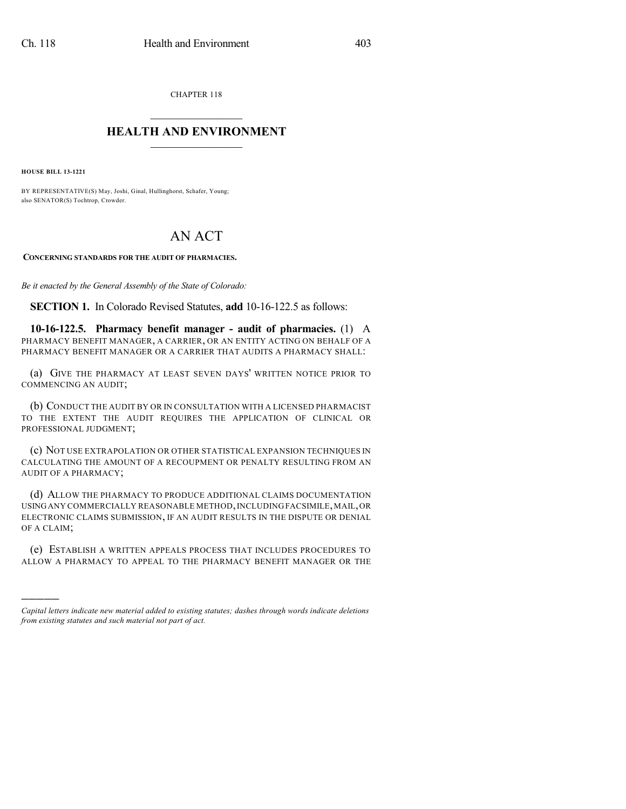CHAPTER 118  $\mathcal{L}_\text{max}$  . The set of the set of the set of the set of the set of the set of the set of the set of the set of the set of the set of the set of the set of the set of the set of the set of the set of the set of the set

## **HEALTH AND ENVIRONMENT**  $\_$

**HOUSE BILL 13-1221**

)))))

BY REPRESENTATIVE(S) May, Joshi, Ginal, Hullinghorst, Schafer, Young; also SENATOR(S) Tochtrop, Crowder.

## AN ACT

**CONCERNING STANDARDS FOR THE AUDIT OF PHARMACIES.**

*Be it enacted by the General Assembly of the State of Colorado:*

**SECTION 1.** In Colorado Revised Statutes, **add** 10-16-122.5 as follows:

**10-16-122.5. Pharmacy benefit manager - audit of pharmacies.** (1) A PHARMACY BENEFIT MANAGER, A CARRIER, OR AN ENTITY ACTING ON BEHALF OF A PHARMACY BENEFIT MANAGER OR A CARRIER THAT AUDITS A PHARMACY SHALL:

(a) GIVE THE PHARMACY AT LEAST SEVEN DAYS' WRITTEN NOTICE PRIOR TO COMMENCING AN AUDIT;

(b) CONDUCT THE AUDIT BY OR IN CONSULTATION WITH A LICENSED PHARMACIST TO THE EXTENT THE AUDIT REQUIRES THE APPLICATION OF CLINICAL OR PROFESSIONAL JUDGMENT;

(c) NOT USE EXTRAPOLATION OR OTHER STATISTICAL EXPANSION TECHNIQUES IN CALCULATING THE AMOUNT OF A RECOUPMENT OR PENALTY RESULTING FROM AN AUDIT OF A PHARMACY;

(d) ALLOW THE PHARMACY TO PRODUCE ADDITIONAL CLAIMS DOCUMENTATION USING ANY COMMERCIALLY REASONABLE METHOD, INCLUDING FACSIMILE, MAIL, OR ELECTRONIC CLAIMS SUBMISSION, IF AN AUDIT RESULTS IN THE DISPUTE OR DENIAL OF A CLAIM;

(e) ESTABLISH A WRITTEN APPEALS PROCESS THAT INCLUDES PROCEDURES TO ALLOW A PHARMACY TO APPEAL TO THE PHARMACY BENEFIT MANAGER OR THE

*Capital letters indicate new material added to existing statutes; dashes through words indicate deletions from existing statutes and such material not part of act.*